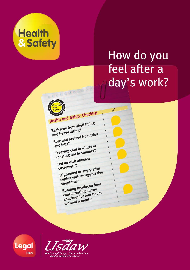

# How do you feel after a day's work?

J



**Backache from shelf filling and heavy lifting? Sore and bruised from trips and falls? Freezing cold in winter or roasting hot in summer?**

**Fed up with abusive customers?**

**Frightened or angry after coping with an aggressive shoplifter?**

**Blinding headache from concentrating on the checkout for four hours without <sup>a</sup> break?**

Legal Plus

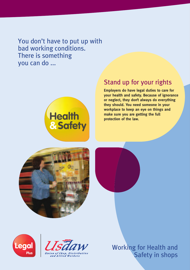You don't have to put up with bad working conditions. There is something you can do ...



#### Stand up for your rights

**Employers do have legal duties to care for your health and safety. Because of ignorance or neglect, they don't always do everything they should. You need someone in your workplace to keep an eye on things and make sure you are getting the full protection of the law.**









Working for Health and Safety in shops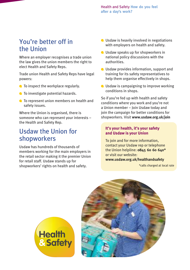## You're better off in the Union

Where an employer recognises a trade union the law gives the union members the right to elect Health and Safety Reps.

Trade union Health and Safety Reps have legal powers:

- To inspect the workplace regularly.
- **O** To investigate potential hazards.
- **C** To represent union members on health and safety issues.

Where the Union is organised, there is someone who can represent your interests – the Health and Safety Rep.

### Usdaw the Union for shopworkers

Usdaw has hundreds of thousands of members working for the main employers in the retail sector making it the premier Union for retail staff. Usdaw stands up for shopworkers' rights on health and safety.

- Usdaw is heavily involved in negotiations with employers on health and safety.
- **O** Usdaw speaks up for shopworkers in national policy discussions with the authorities.
- Usdaw provides information, support and training for its safety representatives to help them organise effectively in shops.
- **O** Usdaw is campaigning to improve working conditions in shops.

So if you're fed up with health and safety conditions where you work and you're not a Union member – Join Usdaw today and join the campaign for better conditions for shopworkers. Visit **www.usdaw.org.uk/join**

#### **It's your health, it's your safety and Usdaw is your Union**

To join and for more information, contact your Usdaw rep or telephone the Union helpline: **0845 60 60 640\*** or visit our website: **www.usdaw.org.uk/healthandsafety**

\*calls charged at local rate